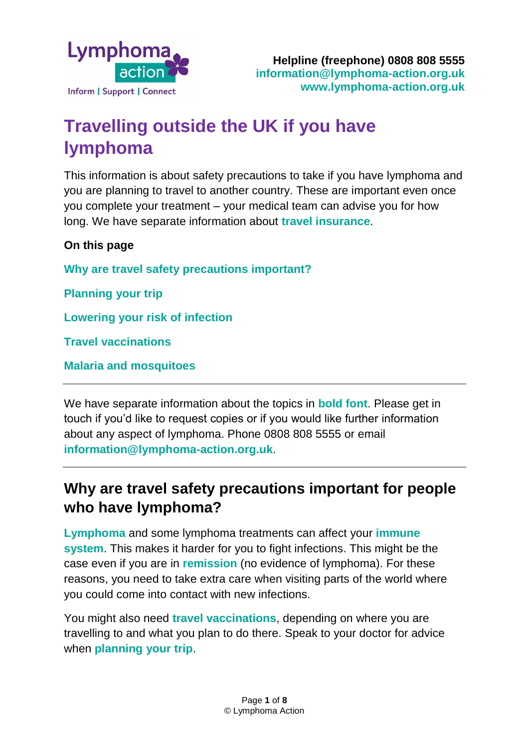

# **Travelling outside the UK if you have lymphoma**

This information is about safety precautions to take if you have lymphoma and you are planning to travel to another country. These are important even once you complete your treatment – your medical team can advise you for how long. We have separate information about **[travel insurance](https://lymphoma-action.org.uk/about-lymphoma-living-and-beyond-lymphoma-foreign-travel-precautions-and-vaccinations/travel)**.

**On this page**

**Why are travel safety precautions important?**

**Planning your trip**

**Lowering your risk of infection**

**Travel vaccinations**

**Malaria and mosquitoes**

We have separate information about the topics in **bold font**. Please get in touch if you'd like to request copies or if you would like further information about any aspect of lymphoma. Phone 0808 808 5555 or email **[information@lymphoma-action.org.uk](mailto:information@lymphoma-action.org.uk)**.

## **Why are travel safety precautions important for people who have lymphoma?**

**[Lymphoma](https://lymphoma-action.org.uk/about-lymphoma/what-lymphoma)** and some lymphoma treatments can affect your **[immune](https://lymphoma-action.org.uk/about-lymphoma-what-lymphoma/immune-system)  [system](https://lymphoma-action.org.uk/about-lymphoma-what-lymphoma/immune-system)**. This makes it harder for you to fight infections. This might be the case even if you are in **[remission](https://lymphoma-action.org.uk/about-lymphoma-treatment-lymphoma/treatment-and-remission)** (no evidence of lymphoma). For these reasons, you need to take extra care when visiting parts of the world where you could come into contact with new infections.

You might also need **travel vaccinations**, depending on where you are travelling to and what you plan to do there. Speak to your doctor for advice when **planning your trip**.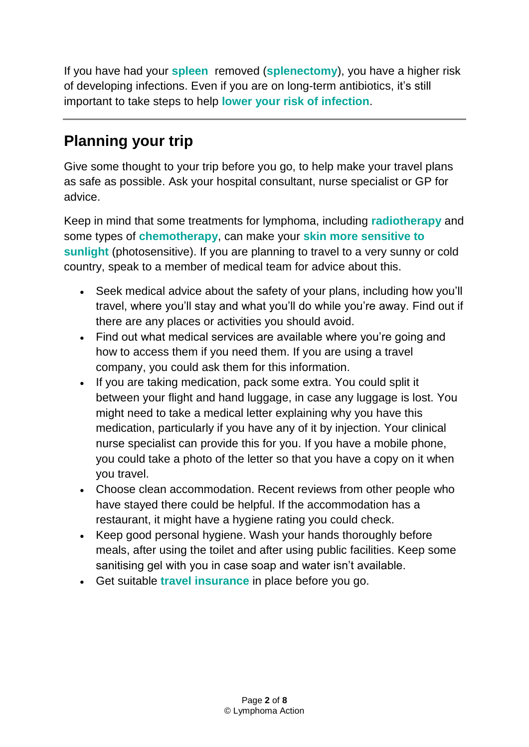If you have had your **[spleen](https://lymphoma-action.org.uk/about-lymphoma-what-lymphoma/lymphatic-system#spleen)** removed (**[splenectomy](https://lymphoma-action.org.uk/about-lymphoma-treatment-lymphoma/splenectomy-having-your-spleen-removed)**), you have a higher risk of developing [infections.](https://lymphoma-action.org.uk/about-lymphoma-side-effects-treatment/neutropenia-and-risk-infection) Even if you are on long-term antibiotics, it's still important to take steps to help **lower your risk of infection**.

## **Planning your trip**

Give some thought to your trip before you go, to help make your travel plans as safe as possible. Ask your hospital consultant, nurse specialist or GP for advice.

Keep in mind that some treatments for lymphoma, including **[radiotherapy](https://lymphoma-action.org.uk/about-lymphoma-treatment-lymphoma/radiotherapy)** and some types of **[chemotherapy](https://lymphoma-action.org.uk/about-lymphoma-treatment-lymphoma/chemotherapy)**, can make your **skin more sensitive to sunlight** (photosensitive). If you are planning to travel to a very sunny or cold country, speak to a member of medical team for advice about this.

- Seek medical advice about the safety of your plans, including how you'll travel, where you'll stay and what you'll do while you're away. Find out if there are any places or activities you should avoid.
- Find out what medical services are available where you're going and how to access them if you need them. If you are using a travel company, you could ask them for this information.
- If you are taking medication, pack some extra. You could split it between your flight and hand luggage, in case any luggage is lost. You might need to take a medical letter explaining why you have this medication, particularly if you have any of it by injection. Your clinical nurse specialist can provide this for you. If you have a mobile phone, you could take a photo of the letter so that you have a copy on it when you travel.
- Choose clean accommodation. Recent reviews from other people who have stayed there could be helpful. If the accommodation has a restaurant, it might have a hygiene rating you could check.
- Keep good personal hygiene. Wash your hands thoroughly before meals, after using the toilet and after using public facilities. Keep some sanitising gel with you in case soap and water isn't available.
- Get suitable **[travel insurance](https://lymphoma-action.org.uk/about-lymphoma-living-and-beyond-lymphoma-foreign-travel-precautions-and-vaccinations/travel)** in place before you go.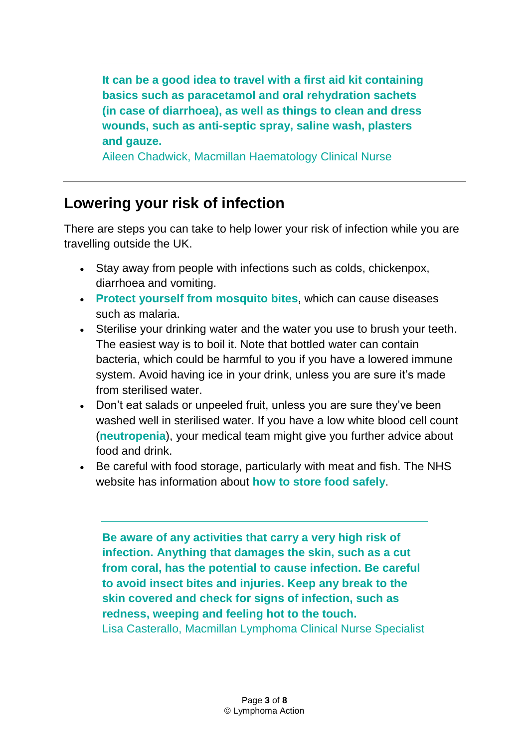**It can be a good idea to travel with a first aid kit containing basics such as paracetamol and oral rehydration sachets (in case of diarrhoea), as well as things to clean and dress wounds, such as anti-septic spray, saline wash, plasters and gauze.**

Aileen Chadwick, Macmillan Haematology Clinical Nurse

## **Lowering your risk of infection**

There are steps you can take to help lower your risk of infection while you are travelling outside the UK.

- Stay away from people with infections such as colds, chickenpox, diarrhoea and vomiting.
- **Protect yourself from mosquito bites**, which can cause diseases such as malaria.
- Sterilise your drinking water and the water you use to brush your teeth. The easiest way is to boil it. Note that bottled water can contain bacteria, which could be harmful to you if you have a lowered immune system. Avoid having ice in your drink, unless you are sure it's made from sterilised water.
- Don't eat salads or unpeeled fruit, unless you are sure they've been washed well in sterilised water. If you have a low white blood cell count (**[neutropenia](https://lymphoma-action.org.uk/about-lymphoma-side-effects-treatment/neutropenia)**), your medical team might give you further advice about food and drink.
- Be careful with food storage, particularly with meat and fish. The NHS website has information about **[how to store food safely](https://www.nhs.uk/live-well/eat-well/how-to-store-food-and-leftovers/)**.

**Be aware of any activities that carry a very high risk of infection. Anything that damages the skin, such as a cut from coral, has the potential to cause infection. Be careful to avoid insect bites and injuries. Keep any break to the skin covered and check for signs of infection, such as redness, weeping and feeling hot to the touch.** Lisa Casterallo, Macmillan Lymphoma Clinical Nurse Specialist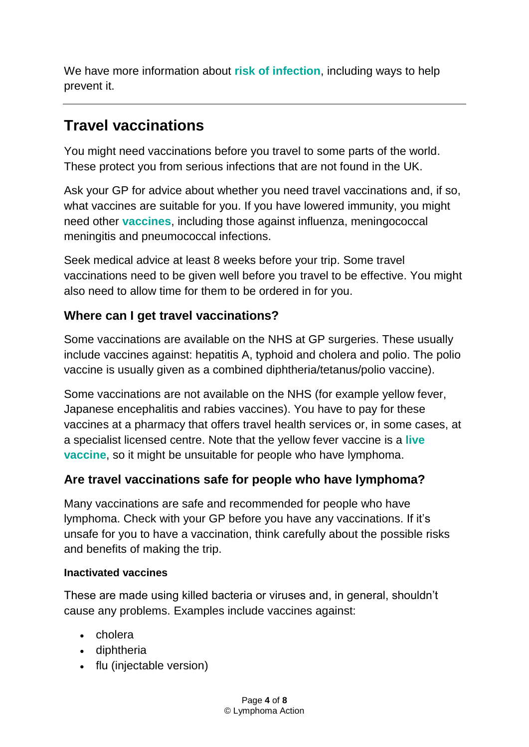We have more information about **risk [of infection](https://lymphoma-action.org.uk/about-lymphoma-side-effects-treatment/risk-infection)**, including ways to help prevent it.

## **Travel vaccinations**

You might need vaccinations before you travel to some parts of the world. These protect you from serious infections that are not found in the UK.

Ask your GP for advice about whether you need travel vaccinations and, if so, what vaccines are suitable for you. If you have lowered immunity, you might need other **[vaccines](https://lymphoma-action.org.uk/about-lymphoma-living-and-beyond-lymphoma/day-day-living#vaccinations)**, including those against influenza, meningococcal meningitis and pneumococcal infections.

Seek medical advice at least 8 weeks before your trip. Some travel vaccinations need to be given well before you travel to be effective. You might also need to allow time for them to be ordered in for you.

### **Where can I get travel vaccinations?**

Some vaccinations are available on the NHS at GP surgeries. These usually include vaccines against: hepatitis A, typhoid and cholera and polio. The polio vaccine is usually given as a combined diphtheria/tetanus/polio vaccine).

Some vaccinations are not available on the NHS (for example yellow fever, Japanese encephalitis and rabies vaccines). You have to pay for these vaccines at a pharmacy that offers travel health services or, in some cases, at a specialist licensed centre. Note that the yellow fever vaccine is a **live vaccine**, so it might be unsuitable for people who have lymphoma.

### **Are travel vaccinations safe for people who have lymphoma?**

Many vaccinations are safe and recommended for people who have lymphoma. Check with your GP before you have any vaccinations. If it's unsafe for you to have a vaccination, think carefully about the possible risks and benefits of making the trip.

#### **Inactivated vaccines**

These are made using killed bacteria or viruses and, in general, shouldn't cause any problems. Examples include vaccines against:

- cholera
- diphtheria
- flu (injectable version)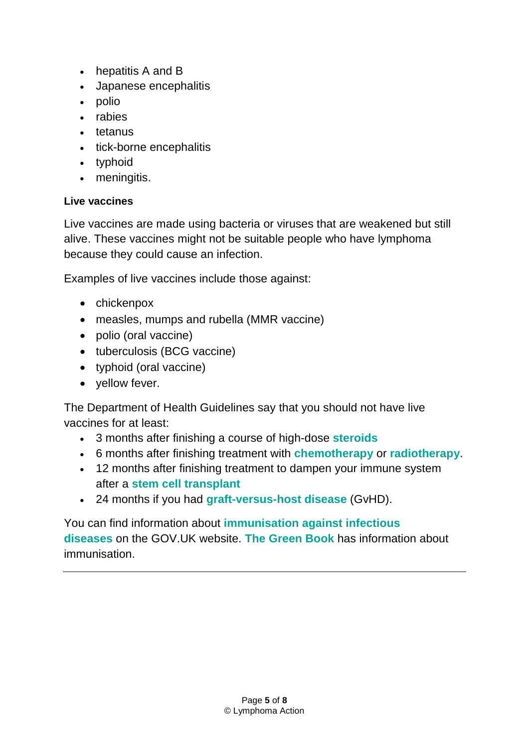- hepatitis A and B
- Japanese encephalitis
- polio
- rabies
- tetanus
- tick-borne encephalitis
- typhoid
- meningitis.

#### **Live vaccines**

Live vaccines are made using bacteria or viruses that are weakened but still alive. These vaccines might not be suitable people who have lymphoma because they could cause an infection.

Examples of live vaccines include those against:

- chickenpox
- measles, mumps and rubella (MMR vaccine)
- polio (oral vaccine)
- tuberculosis (BCG vaccine)
- typhoid (oral vaccine)
- vellow fever.

The Department of Health Guidelines say that you should not have live vaccines for at least:

- 3 months after finishing a course of high-dose **[steroids](https://lymphoma-action.org.uk/about-lymphoma-treatment-lymphoma/steroids)**
- 6 months after finishing treatment with **[chemotherapy](https://lymphoma-action.org.uk/about-lymphoma-treatment-lymphoma/chemotherapy)** or **[radiotherapy](https://lymphoma-action.org.uk/about-lymphoma-treatment-lymphoma/radiotherapy)**.
- 12 months after finishing treatment to dampen your immune system after a **[stem cell transplant](https://lymphoma-action.org.uk/about-lymphoma-treatment-lymphoma/stem-cell-transplants)**
- 24 months if you had **[graft-versus-host disease](https://lymphoma-action.org.uk/about-lymphoma-treatment-lymphoma-stem-cell-transplants/donor-stem-cell-transplants#gvh-disease)** (GvHD).

You can find information about **[immunisation against infectious](https://www.gov.uk/government/collections/immunisation-against-infectious-disease-the-green-book)  [diseases](https://www.gov.uk/government/collections/immunisation-against-infectious-disease-the-green-book)** on the GOV.UK website. **[The Green Book](https://www.gov.uk/government/collections/immunisation-against-infectious-disease-the-green-book#the-green-book)** has information about immunisation.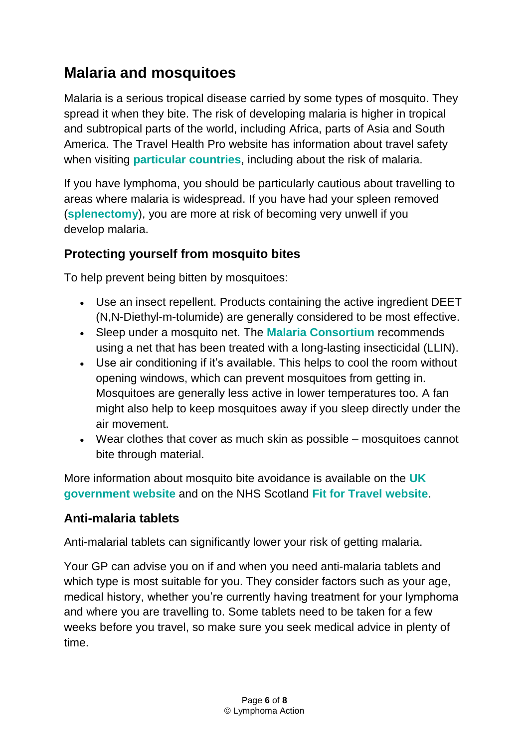## **Malaria and mosquitoes**

Malaria is a serious tropical disease carried by some types of mosquito. They spread it when they bite. The risk of developing malaria is higher in tropical and subtropical parts of the world, including Africa, parts of Asia and South America. The Travel Health Pro website has information about travel safety when visiting **[particular countries](https://travelhealthpro.org.uk/countries)**, including about the risk of malaria.

If you have lymphoma, you should be particularly cautious about travelling to areas where malaria is widespread. If you have had your spleen removed (**[splenectomy](https://lymphoma-action.org.uk/about-lymphoma-treatment-lymphoma/splenectomy-having-your-spleen-removed)**), you are more at risk of becoming very unwell if you develop malaria.

### **Protecting yourself from mosquito bites**

To help prevent being bitten by mosquitoes:

- Use an insect repellent. Products containing the active ingredient DEET (N,N-Diethyl-m-tolumide) are generally considered to be most effective.
- Sleep under a mosquito net. The **[Malaria Consortium](https://www.malariaconsortium.org/)** recommends using a net that has been treated with a long-lasting insecticidal (LLIN).
- Use air conditioning if it's available. This helps to cool the room without opening windows, which can prevent mosquitoes from getting in. Mosquitoes are generally less active in lower temperatures too. A fan might also help to keep mosquitoes away if you sleep directly under the air movement.
- Wear clothes that cover as much skin as possible mosquitoes cannot bite through material.

More information about mosquito bite avoidance is available on the **[UK](https://www.gov.uk/government/publications/mosquito-bite-avoidance-for-travellers)  [government website](https://www.gov.uk/government/publications/mosquito-bite-avoidance-for-travellers)** and on the NHS Scotland **[Fit for Travel website](https://www.fitfortravel.nhs.uk/advice/malaria/mosquito-bite-avoidance)**.

### **Anti-malaria tablets**

Anti-malarial tablets can significantly lower your risk of getting malaria.

Your GP can advise you on if and when you need anti-malaria tablets and which type is most suitable for you. They consider factors such as your age, medical history, whether you're currently having treatment for your lymphoma and where you are travelling to. Some tablets need to be taken for a few weeks before you travel, so make sure you seek medical advice in plenty of time.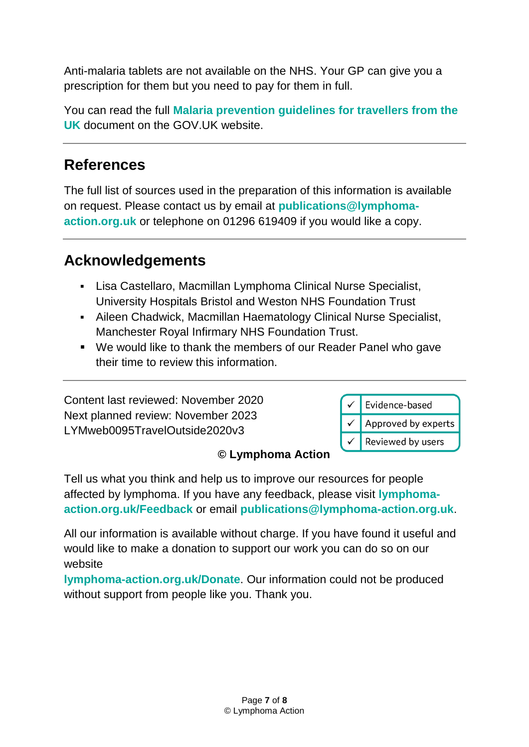Anti-malaria tablets are not available on the NHS. Your GP can give you a prescription for them but you need to pay for them in full.

You can read the full **[Malaria prevention guidelines for travellers from the](file://///LADC2020/publication/Publications%20folder/Information%20products%20-%20LYMweb%20numbers/LYMweb0095ForeignTravel/Malaria%20prevention%20guidelines%20for%20travellers%20from%20the%20UK)  [UK](file://///LADC2020/publication/Publications%20folder/Information%20products%20-%20LYMweb%20numbers/LYMweb0095ForeignTravel/Malaria%20prevention%20guidelines%20for%20travellers%20from%20the%20UK)** document on the GOV.UK website.

### **References**

The full list of sources used in the preparation of this information is available on request. Please contact us by email at **[publications@lymphoma](mailto:publications@lymphoma-action.org.uk)[action.org.uk](mailto:publications@lymphoma-action.org.uk)** or telephone on 01296 619409 if you would like a copy.

## **Acknowledgements**

- Lisa Castellaro, Macmillan Lymphoma Clinical Nurse Specialist, University Hospitals Bristol and Weston NHS Foundation Trust
- Aileen Chadwick, Macmillan Haematology Clinical Nurse Specialist, Manchester Royal Infirmary NHS Foundation Trust.
- We would like to thank the members of our Reader Panel who gave their time to review this information.

Content last reviewed: November 2020 Next planned review: November 2023 LYMweb0095TravelOutside2020v3



#### **© Lymphoma Action**

Tell us what you think and help us to improve our resources for people affected by lymphoma. If you have any feedback, please visit **lymphomaaction.org.uk/Feedback** or email **publications@lymphoma-action.org.uk**.

All our information is available without charge. If you have found it useful and would like to make a donation to support our work you can do so on our website

**lymphoma-action.org.uk/Donate**. Our information could not be produced without support from people like you. Thank you.